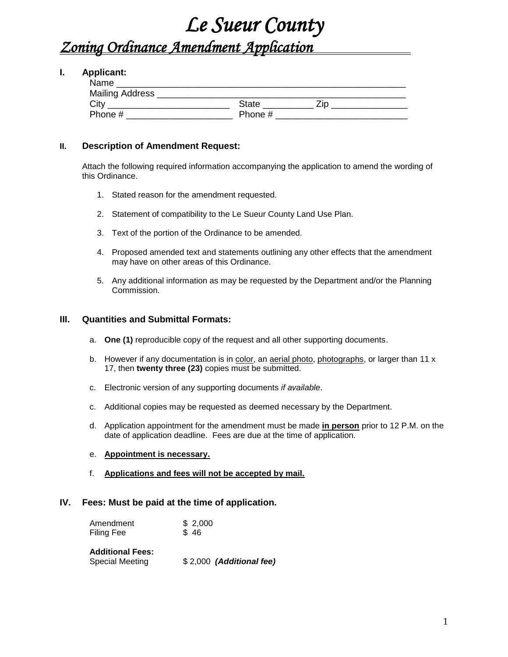# *Le Sueur County*

## *Zoning Ordinance Amendment Application*

#### **I. Applicant:**

| Name                   |              |     |
|------------------------|--------------|-----|
| <b>Mailing Address</b> |              |     |
| City                   | <b>State</b> | 7in |
| Phone #                | Phone #      |     |

#### **II. Description of Amendment Request:**

Attach the following required information accompanying the application to amend the wording of this Ordinance.

- 1. Stated reason for the amendment requested.
- 2. Statement of compatibility to the Le Sueur County Land Use Plan.
- 3. Text of the portion of the Ordinance to be amended.
- 4. Proposed amended text and statements outlining any other effects that the amendment may have on other areas of this Ordinance.
- 5. Any additional information as may be requested by the Department and/or the Planning Commission.

#### **III. Quantities and Submittal Formats:**

- a. **One (1)** reproducible copy of the request and all other supporting documents.
- b. However if any documentation is in color, an aerial photo, photographs, or larger than 11 x 17, then **twenty three (23)** copies must be submitted.
- c. Electronic version of any supporting documents *if available*.
- c. Additional copies may be requested as deemed necessary by the Department.
- d. Application appointment for the amendment must be made **in person** prior to 12 P.M. on the date of application deadline. Fees are due at the time of application.
- e. **Appointment is necessary.**
- f. **Applications and fees will not be accepted by mail.**

### **IV. Fees: Must be paid at the time of application.**

| Amendment                                         | \$2,000                  |
|---------------------------------------------------|--------------------------|
| Filing Fee                                        | \$46                     |
| <b>Additional Fees:</b><br><b>Special Meeting</b> | \$2,000 (Additional fee) |